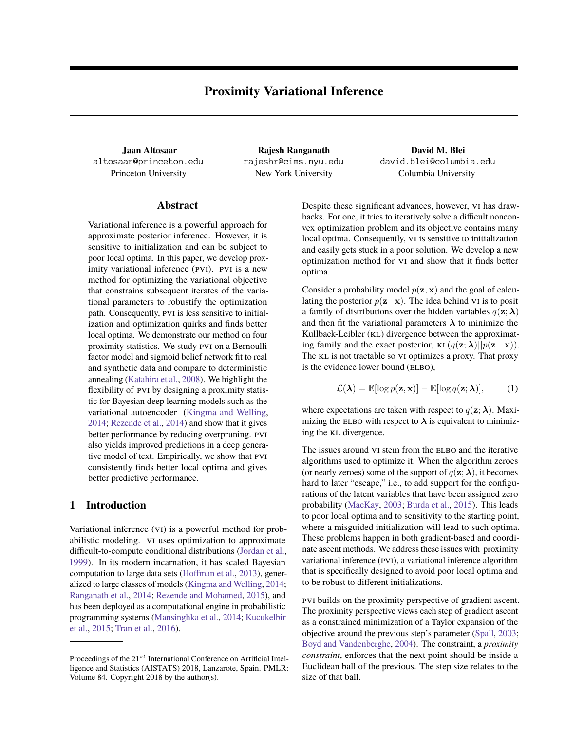**Jaan Altosaar** altosaar@princeton.edu

**Rajesh Ranganath** rajeshr@cims.nyu.edu Princeton University New York University Columbia University

**David M. Blei** david.blei@columbia.edu

## **Abstract**

Variational inference is a powerful approach for approximate posterior inference. However, it is sensitive to initialization and can be subject to poor local optima. In this paper, we develop proximity variational inference (PVI). PVI is a new method for optimizing the variational objective that constrains subsequent iterates of the variational parameters to robustify the optimization path. Consequently, PVI is less sensitive to initialization and optimization quirks and finds better local optima. We demonstrate our method on four proximity statistics. We study pvi on a Bernoulli factor model and sigmoid belief network fit to real and synthetic data and compare to deterministic annealing [\(Katahira et al.,](#page-8-0) [2008\)](#page-8-0). We highlight the flexibility of PVI by designing a proximity statistic for Bayesian deep learning models such as the variational autoencoder [\(Kingma and Welling,](#page-8-1) [2014;](#page-8-1) [Rezende et al.,](#page-8-2) [2014\)](#page-8-2) and show that it gives better performance by reducing overpruning. pvi also yields improved predictions in a deep generative model of text. Empirically, we show that pvi consistently finds better local optima and gives better predictive performance.

# <span id="page-0-0"></span>**1 Introduction**

Variational inference (vi) is a powerful method for probabilistic modeling. vi uses optimization to approximate difficult-to-compute conditional distributions [\(Jordan et al.,](#page-8-3) [1999\)](#page-8-3). In its modern incarnation, it has scaled Bayesian computation to large data sets [\(Hoffman et al.,](#page-7-0) [2013\)](#page-7-0), generalized to large classes of models [\(Kingma and Welling,](#page-8-1) [2014;](#page-8-1) [Ranganath et al.,](#page-8-4) [2014;](#page-8-4) [Rezende and Mohamed,](#page-8-5) [2015\)](#page-8-5), and has been deployed as a computational engine in probabilistic programming systems [\(Mansinghka et al.,](#page-8-6) [2014;](#page-8-6) [Kucukelbir](#page-8-7) [et al.,](#page-8-7) [2015;](#page-8-7) [Tran et al.,](#page-8-8) [2016\)](#page-8-8).

Despite these significant advances, however, vi has drawbacks. For one, it tries to iteratively solve a difficult nonconvex optimization problem and its objective contains many local optima. Consequently, v<sub>I</sub> is sensitive to initialization and easily gets stuck in a poor solution. We develop a new optimization method for vi and show that it finds better optima.

Consider a probability model  $p(\mathbf{z}, \mathbf{x})$  and the goal of calculating the posterior  $p(\mathbf{z} | \mathbf{x})$ . The idea behind VI is to posit a family of distributions over the hidden variables  $q(\mathbf{z}; \boldsymbol{\lambda})$ and then fit the variational parameters  $\lambda$  to minimize the Kullback-Leibler (KL) divergence between the approximating family and the exact posterior,  $KL(q(z; \lambda)||p(z | x)).$ The KL is not tractable so VI optimizes a proxy. That proxy is the evidence lower bound (ELBO),

<span id="page-0-1"></span>
$$
\mathcal{L}(\lambda) = \mathbb{E}[\log p(\mathbf{z}, \mathbf{x})] - \mathbb{E}[\log q(\mathbf{z}; \lambda)], \quad (1)
$$

where expectations are taken with respect to  $q(\mathbf{z}; \lambda)$ . Maximizing the ELBO with respect to  $\lambda$  is equivalent to minimizing the KL divergence.

The issues around VI stem from the ELBO and the iterative algorithms used to optimize it. When the algorithm zeroes (or nearly zeroes) some of the support of  $q(\mathbf{z}; \boldsymbol{\lambda})$ , it becomes hard to later "escape," i.e., to add support for the configurations of the latent variables that have been assigned zero probability [\(MacKay,](#page-8-9) [2003;](#page-8-9) [Burda et al.,](#page-7-1) [2015\)](#page-7-1). This leads to poor local optima and to sensitivity to the starting point, where a misguided initialization will lead to such optima. These problems happen in both gradient-based and coordinate ascent methods. We address these issues with proximity variational inference (PVI), a variational inference algorithm that is specifically designed to avoid poor local optima and to be robust to different initializations.

pvi builds on the proximity perspective of gradient ascent. The proximity perspective views each step of gradient ascent as a constrained minimization of a Taylor expansion of the objective around the previous step's parameter [\(Spall,](#page-8-10) [2003;](#page-8-10) [Boyd and Vandenberghe,](#page-7-2) [2004\)](#page-7-2). The constraint, a *proximity constraint*, enforces that the next point should be inside a Euclidean ball of the previous. The step size relates to the size of that ball.

Proceedings of the  $21^{st}$  International Conference on Artificial Intelligence and Statistics (AISTATS) 2018, Lanzarote, Spain. PMLR: Volume 84. Copyright 2018 by the author(s).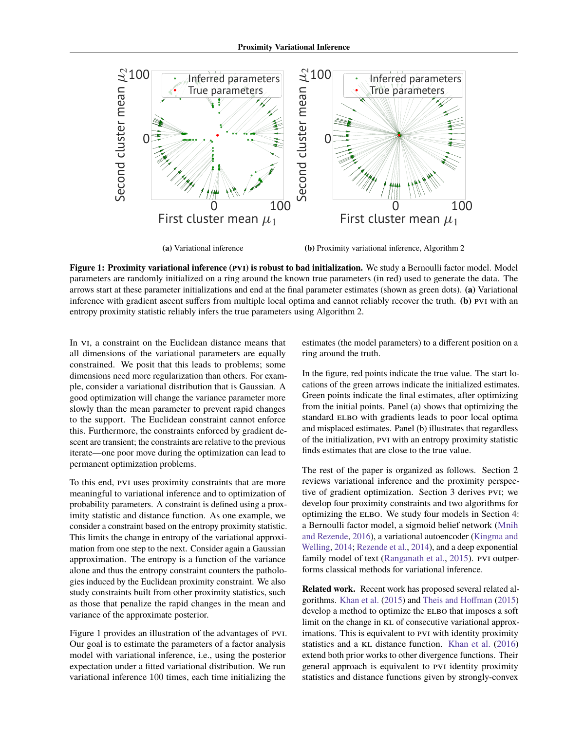<span id="page-1-0"></span>

**(a)** Variational inference

**(b)** Proximity variational inference, [Algorithm 2](#page-3-0)

**Figure 1: Proximity variational inference (pvi) is robust to bad initialization.** We study a Bernoulli factor model. Model parameters are randomly initialized on a ring around the known true parameters (in red) used to generate the data. The arrows start at these parameter initializations and end at the final parameter estimates (shown as green dots). **(a)** Variational inference with gradient ascent suffers from multiple local optima and cannot reliably recover the truth. **(b)** pvi with an entropy proximity statistic reliably infers the true parameters using [Algorithm 2.](#page-3-0)

In VI, a constraint on the Euclidean distance means that all dimensions of the variational parameters are equally constrained. We posit that this leads to problems; some dimensions need more regularization than others. For example, consider a variational distribution that is Gaussian. A good optimization will change the variance parameter more slowly than the mean parameter to prevent rapid changes to the support. The Euclidean constraint cannot enforce this. Furthermore, the constraints enforced by gradient descent are transient; the constraints are relative to the previous iterate—one poor move during the optimization can lead to permanent optimization problems.

To this end, pvi uses proximity constraints that are more meaningful to variational inference and to optimization of probability parameters. A constraint is defined using a proximity statistic and distance function. As one example, we consider a constraint based on the entropy proximity statistic. This limits the change in entropy of the variational approximation from one step to the next. Consider again a Gaussian approximation. The entropy is a function of the variance alone and thus the entropy constraint counters the pathologies induced by the Euclidean proximity constraint. We also study constraints built from other proximity statistics, such as those that penalize the rapid changes in the mean and variance of the approximate posterior.

[Figure 1](#page-1-0) provides an illustration of the advantages of pvi. Our goal is to estimate the parameters of a factor analysis model with variational inference, i.e., using the posterior expectation under a fitted variational distribution. We run variational inference 100 times, each time initializing the

estimates (the model parameters) to a different position on a ring around the truth.

In the figure, red points indicate the true value. The start locations of the green arrows indicate the initialized estimates. Green points indicate the final estimates, after optimizing from the initial points. Panel (a) shows that optimizing the standard ELBO with gradients leads to poor local optima and misplaced estimates. Panel (b) illustrates that regardless of the initialization, pvi with an entropy proximity statistic finds estimates that are close to the true value.

The rest of the paper is organized as follows. [Section 2](#page-2-0) reviews variational inference and the proximity perspective of gradient optimization. [Section 3](#page-3-1) derives pvi; we develop four proximity constraints and two algorithms for optimizing the ELBO. We study four models in [Section 4:](#page-4-0) a Bernoulli factor model, a sigmoid belief network [\(Mnih](#page-8-11) [and Rezende,](#page-8-11) [2016\)](#page-8-11), a variational autoencoder [\(Kingma and](#page-8-1) [Welling,](#page-8-1) [2014;](#page-8-1) [Rezende et al.,](#page-8-2) [2014\)](#page-8-2), and a deep exponential family model of text [\(Ranganath et al.,](#page-8-12) [2015\)](#page-8-12). PVI outperforms classical methods for variational inference.

**Related work.** Recent work has proposed several related algorithms. [Khan et al.](#page-8-13) [\(2015\)](#page-8-13) and [Theis and Hoffman](#page-8-14) [\(2015\)](#page-8-14) develop a method to optimize the ELBO that imposes a soft limit on the change in KL of consecutive variational approximations. This is equivalent to PVI with identity proximity statistics and a KL distance function. [Khan et al.](#page-8-15) [\(2016\)](#page-8-15) extend both prior works to other divergence functions. Their general approach is equivalent to PVI identity proximity statistics and distance functions given by strongly-convex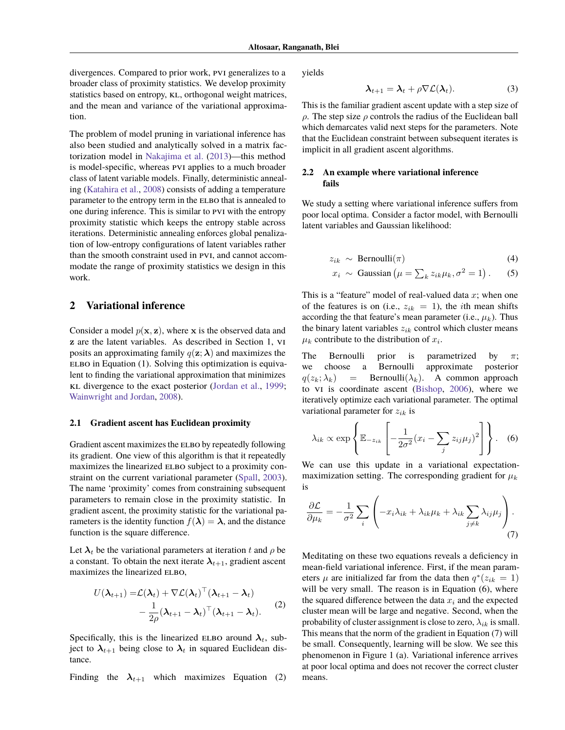divergences. Compared to prior work, pvi generalizes to a broader class of proximity statistics. We develop proximity statistics based on entropy, KL, orthogonal weight matrices, and the mean and variance of the variational approximation.

The problem of model pruning in variational inference has also been studied and analytically solved in a matrix factorization model in [Nakajima et al.](#page-8-16) [\(2013\)](#page-8-16)—this method is model-specific, whereas pvi applies to a much broader class of latent variable models. Finally, deterministic annealing [\(Katahira et al.,](#page-8-0) [2008\)](#page-8-0) consists of adding a temperature parameter to the entropy term in the ELBO that is annealed to one during inference. This is similar to pvi with the entropy proximity statistic which keeps the entropy stable across iterations. Deterministic annealing enforces global penalization of low-entropy configurations of latent variables rather than the smooth constraint used in pvi, and cannot accommodate the range of proximity statistics we design in this work.

# <span id="page-2-0"></span>**2 Variational inference**

Consider a model  $p(x, z)$ , where x is the observed data and z are the latent variables. As described in [Section 1,](#page-0-0) vi posits an approximating family  $q(\mathbf{z}; \boldsymbol{\lambda})$  and maximizes the  $E$ LBO in [Equation \(1\).](#page-0-1) Solving this optimization is equivalent to finding the variational approximation that minimizes kl divergence to the exact posterior [\(Jordan et al.,](#page-8-3) [1999;](#page-8-3) [Wainwright and Jordan,](#page-8-17) [2008\)](#page-8-17).

#### **2.1 Gradient ascent has Euclidean proximity**

Gradient ascent maximizes the ELBO by repeatedly following its gradient. One view of this algorithm is that it repeatedly maximizes the linearized ELBO subject to a proximity constraint on the current variational parameter [\(Spall,](#page-8-10) [2003\)](#page-8-10). The name 'proximity' comes from constraining subsequent parameters to remain close in the proximity statistic. In gradient ascent, the proximity statistic for the variational parameters is the identity function  $f(\lambda) = \lambda$ , and the distance function is the square difference.

Let  $\lambda_t$  be the variational parameters at iteration t and  $\rho$  be a constant. To obtain the next iterate  $\lambda_{t+1}$ , gradient ascent maximizes the linearized ELBO,

$$
U(\lambda_{t+1}) = \mathcal{L}(\lambda_t) + \nabla \mathcal{L}(\lambda_t)^\top (\lambda_{t+1} - \lambda_t)
$$
  
 
$$
- \frac{1}{2\rho} (\lambda_{t+1} - \lambda_t)^\top (\lambda_{t+1} - \lambda_t).
$$
 (2)

Specifically, this is the linearized ELBO around  $\lambda_t$ , subject to  $\lambda_{t+1}$  being close to  $\lambda_t$  in squared Euclidean distance.

Finding the  $\lambda_{t+1}$  which maximizes [Equation \(2\)](#page-2-1)

yields

$$
\lambda_{t+1} = \lambda_t + \rho \nabla \mathcal{L}(\lambda_t). \tag{3}
$$

This is the familiar gradient ascent update with a step size of  $\rho$ . The step size  $\rho$  controls the radius of the Euclidean ball which demarcates valid next steps for the parameters. Note that the Euclidean constraint between subsequent iterates is implicit in all gradient ascent algorithms.

## **2.2 An example where variational inference fails**

We study a setting where variational inference suffers from poor local optima. Consider a factor model, with Bernoulli latent variables and Gaussian likelihood:

$$
z_{ik} \sim \text{Bernoulli}(\pi) \tag{4}
$$

$$
x_i \sim \text{Gaussian}\left(\mu = \sum_k z_{ik}\mu_k, \sigma^2 = 1\right). \tag{5}
$$

This is a "feature" model of real-valued data  $x$ ; when one of the features is on (i.e.,  $z_{ik} = 1$ ), the *i*th mean shifts according the that feature's mean parameter (i.e.,  $\mu_k$ ). Thus the binary latent variables  $z_{ik}$  control which cluster means  $\mu_k$  contribute to the distribution of  $x_i$ .

The Bernoulli prior is parametrized by  $\pi$ ; we choose a Bernoulli approximate posterior  $q(z_k; \lambda_k)$  = Bernoulli $(\lambda_k)$ . A common approach to vi is coordinate ascent [\(Bishop,](#page-7-3) [2006\)](#page-7-3), where we iteratively optimize each variational parameter. The optimal variational parameter for  $z_{ik}$  is

<span id="page-2-2"></span>
$$
\lambda_{ik} \propto \exp\left\{ \mathbb{E}_{-z_{ik}} \left[ -\frac{1}{2\sigma^2} (x_i - \sum_j z_{ij} \mu_j)^2 \right] \right\}.
$$
 (6)

We can use this update in a variational expectationmaximization setting. The corresponding gradient for  $\mu_k$ is

<span id="page-2-3"></span>
$$
\frac{\partial \mathcal{L}}{\partial \mu_k} = -\frac{1}{\sigma^2} \sum_i \left( -x_i \lambda_{ik} + \lambda_{ik} \mu_k + \lambda_{ik} \sum_{j \neq k} \lambda_{ij} \mu_j \right). \tag{7}
$$

<span id="page-2-1"></span>Meditating on these two equations reveals a deficiency in mean-field variational inference. First, if the mean parameters  $\mu$  are initialized far from the data then  $q^*(z_{ik} = 1)$ will be very small. The reason is in Equation  $(6)$ , where the squared difference between the data  $x_i$  and the expected cluster mean will be large and negative. Second, when the probability of cluster assignment is close to zero,  $\lambda_{ik}$  is small. This means that the norm of the gradient in [Equation \(7\)](#page-2-3) will be small. Consequently, learning will be slow. We see this phenomenon in [Figure 1](#page-1-0) (a). Variational inference arrives at poor local optima and does not recover the correct cluster means.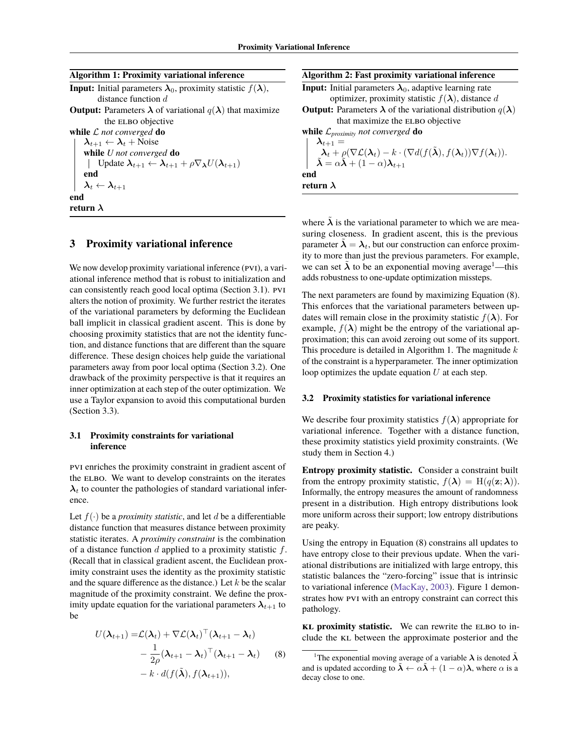| <b>Input:</b> Initial parameters $\lambda_0$ , proximity statistic $f(\lambda)$ ,        |
|------------------------------------------------------------------------------------------|
| distance function d                                                                      |
| <b>Output:</b> Parameters $\lambda$ of variational $q(\lambda)$ that maximize            |
| the ELBO objective                                                                       |
| while $\mathcal L$ not converged do                                                      |
| $\lambda_{t+1} \leftarrow \lambda_t + \text{Noise}$                                      |
| while U not converged do                                                                 |
| Update $\lambda_{t+1} \leftarrow \lambda_{t+1} + \rho \nabla_{\lambda} U(\lambda_{t+1})$ |
| end                                                                                      |
| $\boldsymbol{\lambda}_t \leftarrow \boldsymbol{\lambda}_{t+1}$                           |
| end                                                                                      |
| return $\lambda$                                                                         |

# <span id="page-3-6"></span><span id="page-3-1"></span>**3 Proximity variational inference**

We now develop proximity variational inference (PVI), a variational inference method that is robust to initialization and can consistently reach good local optima [\(Section 3.1\)](#page-3-2). pvi alters the notion of proximity. We further restrict the iterates of the variational parameters by deforming the Euclidean ball implicit in classical gradient ascent. This is done by choosing proximity statistics that are not the identity function, and distance functions that are different than the square difference. These design choices help guide the variational parameters away from poor local optima [\(Section 3.2\)](#page-3-3). One drawback of the proximity perspective is that it requires an inner optimization at each step of the outer optimization. We use a Taylor expansion to avoid this computational burden [\(Section 3.3\)](#page-4-1).

### <span id="page-3-2"></span>**3.1 Proximity constraints for variational inference**

pvi enriches the proximity constraint in gradient ascent of the ELBO. We want to develop constraints on the iterates  $\lambda_t$  to counter the pathologies of standard variational inference.

Let  $f(\cdot)$  be a *proximity statistic*, and let d be a differentiable distance function that measures distance between proximity statistic iterates. A *proximity constraint* is the combination of a distance function  $d$  applied to a proximity statistic  $f$ . (Recall that in classical gradient ascent, the Euclidean proximity constraint uses the identity as the proximity statistic and the square difference as the distance.) Let  $k$  be the scalar magnitude of the proximity constraint. We define the proximity update equation for the variational parameters  $\lambda_{t+1}$  to be

$$
U(\boldsymbol{\lambda}_{t+1}) = \mathcal{L}(\boldsymbol{\lambda}_t) + \nabla \mathcal{L}(\boldsymbol{\lambda}_t)^\top (\boldsymbol{\lambda}_{t+1} - \boldsymbol{\lambda}_t)
$$
  
 
$$
- \frac{1}{2\rho} (\boldsymbol{\lambda}_{t+1} - \boldsymbol{\lambda}_t)^\top (\boldsymbol{\lambda}_{t+1} - \boldsymbol{\lambda}_t) \qquad (8)
$$
  
 
$$
- k \cdot d(f(\tilde{\boldsymbol{\lambda}}), f(\boldsymbol{\lambda}_{t+1})),
$$

## **Algorithm 2: Fast proximity variational inference**

**Input:** Initial parameters  $\lambda_0$ , adaptive learning rate optimizer, proximity statistic  $f(\lambda)$ , distance d

**Output:** Parameters  $\lambda$  of the variational distribution  $q(\lambda)$ that maximize the ELBO objective

**while** L*proximity not converged* **do**

 $\boldsymbol{\lambda}_{t+1} =$  $\lambda_t + \rho(\nabla \mathcal{L}(\lambda_t) - k \cdot (\nabla d(f(\tilde{\lambda}), f(\lambda_t)) \nabla f(\lambda_t)).$  $\tilde{\boldsymbol{\lambda}} = \alpha \tilde{\boldsymbol{\lambda}} + (1 - \alpha) \boldsymbol{\lambda}_{t+1}$ **end return** λ

<span id="page-3-0"></span>where  $\tilde{\lambda}$  is the variational parameter to which we are measuring closeness. In gradient ascent, this is the previous parameter  $\tilde{\lambda} = \lambda_t$ , but our construction can enforce proximity to more than just the previous parameters. For example, we can set  $\lambda$  to be an exponential moving average<sup>[1](#page-3-4)</sup>—this adds robustness to one-update optimization missteps.

The next parameters are found by maximizing [Equation \(8\).](#page-3-5) This enforces that the variational parameters between updates will remain close in the proximity statistic  $f(\lambda)$ . For example,  $f(\lambda)$  might be the entropy of the variational approximation; this can avoid zeroing out some of its support. This procedure is detailed in [Algorithm 1.](#page-3-6) The magnitude  $k$ of the constraint is a hyperparameter. The inner optimization loop optimizes the update equation  $U$  at each step.

#### <span id="page-3-3"></span>**3.2 Proximity statistics for variational inference**

We describe four proximity statistics  $f(\lambda)$  appropriate for variational inference. Together with a distance function, these proximity statistics yield proximity constraints. (We study them in [Section 4.](#page-4-0))

**Entropy proximity statistic.** Consider a constraint built from the entropy proximity statistic,  $f(\lambda) = H(q(\mathbf{z}; \lambda)).$ Informally, the entropy measures the amount of randomness present in a distribution. High entropy distributions look more uniform across their support; low entropy distributions are peaky.

Using the entropy in [Equation \(8\)](#page-3-5) constrains all updates to have entropy close to their previous update. When the variational distributions are initialized with large entropy, this statistic balances the "zero-forcing" issue that is intrinsic to variational inference [\(MacKay,](#page-8-9) [2003\)](#page-8-9). [Figure 1](#page-1-0) demonstrates how pvi with an entropy constraint can correct this pathology.

**kL** proximity statistic. We can rewrite the ELBO to include the KL between the approximate posterior and the

<span id="page-3-5"></span><span id="page-3-4"></span><sup>&</sup>lt;sup>1</sup>The exponential moving average of a variable  $\lambda$  is denoted  $\tilde{\lambda}$ and is updated according to  $\tilde{\lambda} \leftarrow \alpha \tilde{\lambda} + (1 - \alpha) \lambda$ , where  $\alpha$  is a decay close to one.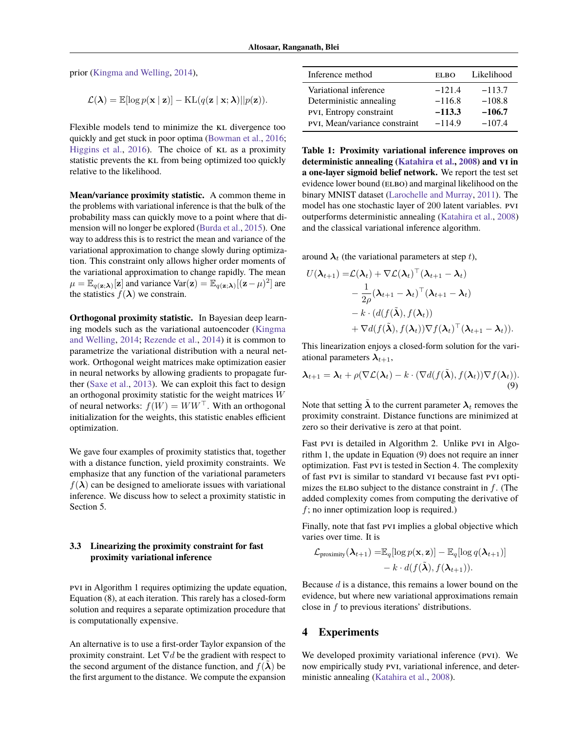prior [\(Kingma and Welling,](#page-8-1) [2014\)](#page-8-1),

$$
\mathcal{L}(\lambda) = \mathbb{E}[\log p(\mathbf{x} \mid \mathbf{z})] - \mathrm{KL}(q(\mathbf{z} \mid \mathbf{x}; \lambda)||p(\mathbf{z})).
$$

Flexible models tend to minimize the KL divergence too quickly and get stuck in poor optima [\(Bowman et al.,](#page-7-4) [2016;](#page-7-4) [Higgins et al.,](#page-7-5) [2016\)](#page-7-5). The choice of kl as a proximity statistic prevents the KL from being optimized too quickly relative to the likelihood.

**Mean/variance proximity statistic.** A common theme in the problems with variational inference is that the bulk of the probability mass can quickly move to a point where that dimension will no longer be explored [\(Burda et al.,](#page-7-1) [2015\)](#page-7-1). One way to address this is to restrict the mean and variance of the variational approximation to change slowly during optimization. This constraint only allows higher order moments of the variational approximation to change rapidly. The mean  $\mu = \mathbb{E}_{q(\mathbf{z}; \boldsymbol{\lambda})}[\mathbf{z}]$  and variance  $\text{Var}(\mathbf{z}) = \mathbb{E}_{q(\mathbf{z}; \boldsymbol{\lambda})}[(\mathbf{z} - \mu)^2]$  are the statistics  $f(\lambda)$  we constrain.

**Orthogonal proximity statistic.** In Bayesian deep learning models such as the variational autoencoder [\(Kingma](#page-8-1) [and Welling,](#page-8-1) [2014;](#page-8-1) [Rezende et al.,](#page-8-2) [2014\)](#page-8-2) it is common to parametrize the variational distribution with a neural network. Orthogonal weight matrices make optimization easier in neural networks by allowing gradients to propagate further [\(Saxe et al.,](#page-8-18) [2013\)](#page-8-18). We can exploit this fact to design an orthogonal proximity statistic for the weight matrices W of neural networks:  $f(W) = WW^{\top}$ . With an orthogonal initialization for the weights, this statistic enables efficient optimization.

We gave four examples of proximity statistics that, together with a distance function, yield proximity constraints. We emphasize that any function of the variational parameters  $f(\lambda)$  can be designed to ameliorate issues with variational inference. We discuss how to select a proximity statistic in [Section 5.](#page-7-6)

## <span id="page-4-1"></span>**3.3 Linearizing the proximity constraint for fast proximity variational inference**

pvi in [Algorithm 1](#page-3-6) requires optimizing the update equation, [Equation \(8\),](#page-3-5) at each iteration. This rarely has a closed-form solution and requires a separate optimization procedure that is computationally expensive.

An alternative is to use a first-order Taylor expansion of the proximity constraint. Let  $\nabla d$  be the gradient with respect to the second argument of the distance function, and  $f(\lambda)$  be the first argument to the distance. We compute the expansion

| Inference method              | <b>ELBO</b> | Likelihood |
|-------------------------------|-------------|------------|
| Variational inference         | $-121.4$    | $-113.7$   |
| Deterministic annealing       | $-116.8$    | $-108.8$   |
| PVI, Entropy constraint       | $-113.3$    | $-106.7$   |
| PVI, Mean/variance constraint | $-114.9$    | $-107.4$   |

**Table 1: Proximity variational inference improves on deterministic annealing [\(Katahira et al.,](#page-8-0) [2008\)](#page-8-0) and vi in a one-layer sigmoid belief network.** We report the test set evidence lower bound (ELBO) and marginal likelihood on the binary MNIST dataset [\(Larochelle and Murray,](#page-8-19) [2011\)](#page-8-19). The model has one stochastic layer of 200 latent variables. pvi outperforms deterministic annealing [\(Katahira et al.,](#page-8-0) [2008\)](#page-8-0) and the classical variational inference algorithm.

around  $\lambda_t$  (the variational parameters at step t),

$$
U(\boldsymbol{\lambda}_{t+1}) = \mathcal{L}(\boldsymbol{\lambda}_t) + \nabla \mathcal{L}(\boldsymbol{\lambda}_t)^\top (\boldsymbol{\lambda}_{t+1} - \boldsymbol{\lambda}_t)
$$
  
-  $\frac{1}{2\rho} (\boldsymbol{\lambda}_{t+1} - \boldsymbol{\lambda}_t)^\top (\boldsymbol{\lambda}_{t+1} - \boldsymbol{\lambda}_t)$   
-  $k \cdot (d(f(\tilde{\boldsymbol{\lambda}}), f(\boldsymbol{\lambda}_t)))$   
+  $\nabla d(f(\tilde{\boldsymbol{\lambda}}), f(\boldsymbol{\lambda}_t)) \nabla f(\boldsymbol{\lambda}_t)^\top (\boldsymbol{\lambda}_{t+1} - \boldsymbol{\lambda}_t)).$ 

This linearization enjoys a closed-form solution for the variational parameters  $\lambda_{t+1}$ ,

<span id="page-4-2"></span>
$$
\boldsymbol{\lambda}_{t+1} = \boldsymbol{\lambda}_t + \rho(\nabla \mathcal{L}(\boldsymbol{\lambda}_t) - k \cdot (\nabla d(f(\tilde{\boldsymbol{\lambda}}), f(\boldsymbol{\lambda}_t)) \nabla f(\boldsymbol{\lambda}_t)).
$$
\n(9)

Note that setting  $\tilde{\lambda}$  to the current parameter  $\lambda_t$  removes the proximity constraint. Distance functions are minimized at zero so their derivative is zero at that point.

Fast pvI is detailed in [Algorithm 2.](#page-3-0) Unlike pvI in [Algo](#page-3-6)[rithm 1,](#page-3-6) the update in [Equation \(9\)](#page-4-2) does not require an inner optimization. Fast pvi is tested in [Section 4.](#page-4-0) The complexity of fast pvi is similar to standard vi because fast pvi optimizes the ELBO subject to the distance constraint in  $f$ . (The added complexity comes from computing the derivative of  $f$ ; no inner optimization loop is required.)

Finally, note that fast PVI implies a global objective which varies over time. It is

$$
\mathcal{L}_{\text{proximity}}(\boldsymbol{\lambda}_{t+1}) = \mathbb{E}_q[\log p(\mathbf{x}, \mathbf{z})] - \mathbb{E}_q[\log q(\boldsymbol{\lambda}_{t+1})] - k \cdot d(f(\tilde{\boldsymbol{\lambda}}), f(\boldsymbol{\lambda}_{t+1})).
$$

Because  $d$  is a distance, this remains a lower bound on the evidence, but where new variational approximations remain close in  $f$  to previous iterations' distributions.

#### <span id="page-4-0"></span>**4 Experiments**

We developed proximity variational inference (PVI). We now empirically study pvi, variational inference, and deterministic annealing [\(Katahira et al.,](#page-8-0) [2008\)](#page-8-0).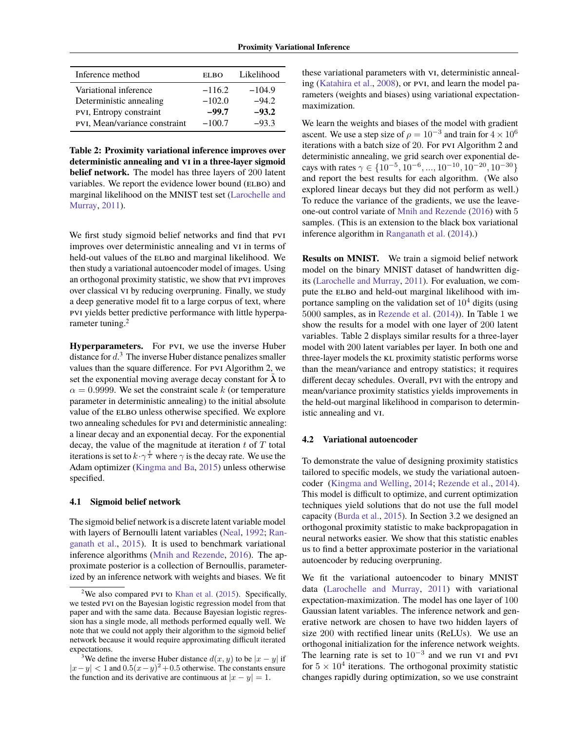<span id="page-5-2"></span>

| Inference method              | EL BO    | Likelihood |
|-------------------------------|----------|------------|
| Variational inference         | $-116.2$ | $-104.9$   |
| Deterministic annealing       | $-102.0$ | $-94.2$    |
| PVI, Entropy constraint       | $-99.7$  | $-93.2$    |
| PVI, Mean/variance constraint | $-100.7$ | $-93.3$    |

**Table 2: Proximity variational inference improves over deterministic annealing and vi in a three-layer sigmoid belief network.** The model has three layers of 200 latent variables. We report the evidence lower bound (ELBO) and marginal likelihood on the MNIST test set [\(Larochelle and](#page-8-19) [Murray,](#page-8-19) [2011\)](#page-8-19).

We first study sigmoid belief networks and find that PVI improves over deterministic annealing and vi in terms of held-out values of the ELBO and marginal likelihood. We then study a variational autoencoder model of images. Using an orthogonal proximity statistic, we show that pvi improves over classical vi by reducing overpruning. Finally, we study a deep generative model fit to a large corpus of text, where pvi yields better predictive performance with little hyperpa-rameter tuning.<sup>[2](#page-5-0)</sup>

**Hyperparameters.** For pvi, we use the inverse Huber distance for  $d^3$  $d^3$ . The inverse Huber distance penalizes smaller values than the square difference. For pvi [Algorithm 2,](#page-3-0) we set the exponential moving average decay constant for  $\lambda$  to  $\alpha = 0.9999$ . We set the constraint scale k (or temperature parameter in deterministic annealing) to the initial absolute value of the ELBO unless otherwise specified. We explore two annealing schedules for pvi and deterministic annealing: a linear decay and an exponential decay. For the exponential decay, the value of the magnitude at iteration  $t$  of  $T$  total iterations is set to  $k \cdot \gamma^{\frac{t}{T}}$  where  $\gamma$  is the decay rate. We use the Adam optimizer [\(Kingma and Ba,](#page-8-20) [2015\)](#page-8-20) unless otherwise specified.

#### **4.1 Sigmoid belief network**

The sigmoid belief network is a discrete latent variable model with layers of Bernoulli latent variables [\(Neal,](#page-8-21) [1992;](#page-8-21) [Ran](#page-8-12)[ganath et al.,](#page-8-12) [2015\)](#page-8-12). It is used to benchmark variational inference algorithms [\(Mnih and Rezende,](#page-8-11) [2016\)](#page-8-11). The approximate posterior is a collection of Bernoullis, parameterized by an inference network with weights and biases. We fit

these variational parameters with vi, deterministic annealing [\(Katahira et al.,](#page-8-0) [2008\)](#page-8-0), or pvi, and learn the model parameters (weights and biases) using variational expectationmaximization.

We learn the weights and biases of the model with gradient ascent. We use a step size of  $\rho = 10^{-3}$  and train for  $4 \times 10^6$ iterations with a batch size of 20. For pvi [Algorithm 2](#page-3-0) and deterministic annealing, we grid search over exponential decays with rates  $\gamma \in \{10^{-5}, 10^{-6}, ..., 10^{-10}, 10^{-20}, 10^{-30}\}\$ and report the best results for each algorithm. (We also explored linear decays but they did not perform as well.) To reduce the variance of the gradients, we use the leaveone-out control variate of [Mnih and Rezende](#page-8-11) [\(2016\)](#page-8-11) with 5 samples. (This is an extension to the black box variational inference algorithm in [Ranganath et al.](#page-8-4) [\(2014\)](#page-8-4).)

**Results on MNIST.** We train a sigmoid belief network model on the binary MNIST dataset of handwritten digits [\(Larochelle and Murray,](#page-8-19) [2011\)](#page-8-19). For evaluation, we compute the ELBO and held-out marginal likelihood with importance sampling on the validation set of  $10<sup>4</sup>$  digits (using 5000 samples, as in [Rezende et al.](#page-8-2) [\(2014\)](#page-8-2)). In Table 1 we show the results for a model with one layer of 200 latent variables. [Table 2](#page-5-2) displays similar results for a three-layer model with 200 latent variables per layer. In both one and three-layer models the KL proximity statistic performs worse than the mean/variance and entropy statistics; it requires different decay schedules. Overall, pvi with the entropy and mean/variance proximity statistics yields improvements in the held-out marginal likelihood in comparison to deterministic annealing and vi.

#### **4.2 Variational autoencoder**

To demonstrate the value of designing proximity statistics tailored to specific models, we study the variational autoencoder [\(Kingma and Welling,](#page-8-1) [2014;](#page-8-1) [Rezende et al.,](#page-8-2) [2014\)](#page-8-2). This model is difficult to optimize, and current optimization techniques yield solutions that do not use the full model capacity [\(Burda et al.,](#page-7-1) [2015\)](#page-7-1). In [Section 3.2](#page-3-3) we designed an orthogonal proximity statistic to make backpropagation in neural networks easier. We show that this statistic enables us to find a better approximate posterior in the variational autoencoder by reducing overpruning.

We fit the variational autoencoder to binary MNIST data [\(Larochelle and Murray,](#page-8-19) [2011\)](#page-8-19) with variational expectation-maximization. The model has one layer of 100 Gaussian latent variables. The inference network and generative network are chosen to have two hidden layers of size 200 with rectified linear units (ReLUs). We use an orthogonal initialization for the inference network weights. The learning rate is set to  $10^{-3}$  and we run vi and pvi for  $5 \times 10^4$  iterations. The orthogonal proximity statistic changes rapidly during optimization, so we use constraint

<span id="page-5-0"></span><sup>&</sup>lt;sup>2</sup>We also compared PVI to [Khan et al.](#page-8-13)  $(2015)$ . Specifically, we tested pvi on the Bayesian logistic regression model from that paper and with the same data. Because Bayesian logistic regression has a single mode, all methods performed equally well. We note that we could not apply their algorithm to the sigmoid belief network because it would require approximating difficult iterated expectations.

<span id="page-5-1"></span><sup>&</sup>lt;sup>3</sup>We define the inverse Huber distance  $d(x, y)$  to be  $|x - y|$  if  $|x-y| < 1$  and  $0.5(x-y)^2 + 0.5$  otherwise. The constants ensure the function and its derivative are continuous at  $|x - y| = 1$ .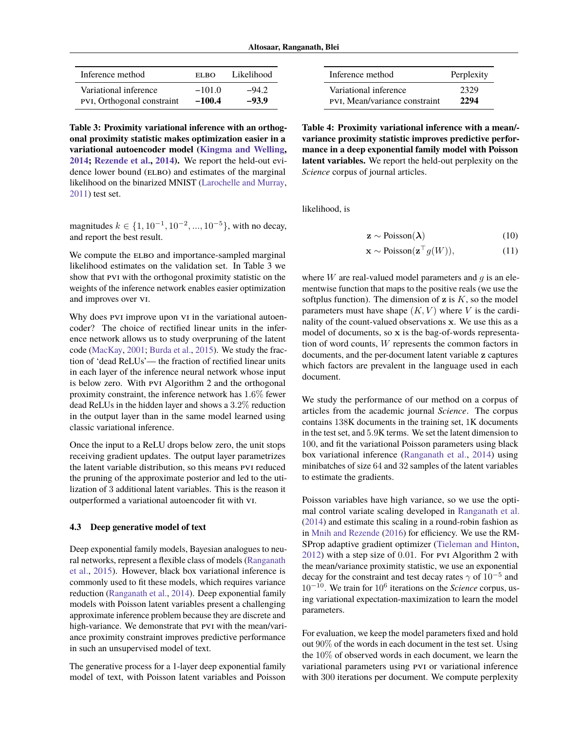<span id="page-6-0"></span>

| Inference method           | EL BO    | Likelihood |
|----------------------------|----------|------------|
| Variational inference      | $-101.0$ | $-94.2$    |
| PVI, Orthogonal constraint | $-100.4$ | $-93.9$    |

**Table 3: Proximity variational inference with an orthogonal proximity statistic makes optimization easier in a variational autoencoder model [\(Kingma and Welling,](#page-8-1) [2014;](#page-8-1) [Rezende et al.,](#page-8-2) [2014\)](#page-8-2).** We report the held-out evidence lower bound (ELBO) and estimates of the marginal likelihood on the binarized MNIST [\(Larochelle and Murray,](#page-8-19) [2011\)](#page-8-19) test set.

magnitudes  $k \in \{1, 10^{-1}, 10^{-2}, ..., 10^{-5}\}$ , with no decay, and report the best result.

We compute the ELBO and importance-sampled marginal likelihood estimates on the validation set. In [Table 3](#page-6-0) we show that PVI with the orthogonal proximity statistic on the weights of the inference network enables easier optimization and improves over vi.

Why does PVI improve upon VI in the variational autoencoder? The choice of rectified linear units in the inference network allows us to study overpruning of the latent code [\(MacKay,](#page-8-22) [2001;](#page-8-22) [Burda et al.,](#page-7-1) [2015\)](#page-7-1). We study the fraction of 'dead ReLUs'— the fraction of rectified linear units in each layer of the inference neural network whose input is below zero. With pvi [Algorithm 2](#page-3-0) and the orthogonal proximity constraint, the inference network has 1.6% fewer dead ReLUs in the hidden layer and shows a 3.2% reduction in the output layer than in the same model learned using classic variational inference.

Once the input to a ReLU drops below zero, the unit stops receiving gradient updates. The output layer parametrizes the latent variable distribution, so this means pvi reduced the pruning of the approximate posterior and led to the utilization of 3 additional latent variables. This is the reason it outperformed a variational autoencoder fit with vi.

#### **4.3 Deep generative model of text**

Deep exponential family models, Bayesian analogues to neural networks, represent a flexible class of models [\(Ranganath](#page-8-12) [et al.,](#page-8-12) [2015\)](#page-8-12). However, black box variational inference is commonly used to fit these models, which requires variance reduction [\(Ranganath et al.,](#page-8-4) [2014\)](#page-8-4). Deep exponential family models with Poisson latent variables present a challenging approximate inference problem because they are discrete and high-variance. We demonstrate that PVI with the mean/variance proximity constraint improves predictive performance in such an unsupervised model of text.

The generative process for a 1-layer deep exponential family model of text, with Poisson latent variables and Poisson

<span id="page-6-1"></span>

| Inference method                     | Perplexity |
|--------------------------------------|------------|
| Variational inference                | 2329       |
| <b>PVI, Mean/variance constraint</b> | 2294       |

**Table 4: Proximity variational inference with a mean/ variance proximity statistic improves predictive performance in a deep exponential family model with Poisson latent variables.** We report the held-out perplexity on the *Science* corpus of journal articles.

likelihood, is

$$
\mathbf{z} \sim \text{Poisson}(\boldsymbol{\lambda}) \tag{10}
$$

$$
\mathbf{x} \sim \text{Poisson}(\mathbf{z}^\top g(W)),\tag{11}
$$

where  $W$  are real-valued model parameters and  $q$  is an elementwise function that maps to the positive reals (we use the softplus function). The dimension of  $z$  is  $K$ , so the model parameters must have shape  $(K, V)$  where V is the cardinality of the count-valued observations x. We use this as a model of documents, so x is the bag-of-words representation of word counts, W represents the common factors in documents, and the per-document latent variable z captures which factors are prevalent in the language used in each document.

We study the performance of our method on a corpus of articles from the academic journal *Science*. The corpus contains 138K documents in the training set, 1K documents in the test set, and 5.9K terms. We set the latent dimension to 100, and fit the variational Poisson parameters using black box variational inference [\(Ranganath et al.,](#page-8-4) [2014\)](#page-8-4) using minibatches of size 64 and 32 samples of the latent variables to estimate the gradients.

Poisson variables have high variance, so we use the optimal control variate scaling developed in [Ranganath et al.](#page-8-4) [\(2014\)](#page-8-4) and estimate this scaling in a round-robin fashion as in [Mnih and Rezende](#page-8-11) [\(2016\)](#page-8-11) for efficiency. We use the RM-SProp adaptive gradient optimizer [\(Tieleman and Hinton,](#page-8-23) [2012\)](#page-8-23) with a step size of 0.01. For pvi [Algorithm 2](#page-3-0) with the mean/variance proximity statistic, we use an exponential decay for the constraint and test decay rates  $\gamma$  of  $10^{-5}$  and 10−<sup>10</sup>. We train for 10<sup>6</sup> iterations on the *Science* corpus, using variational expectation-maximization to learn the model parameters.

For evaluation, we keep the model parameters fixed and hold out 90% of the words in each document in the test set. Using the 10% of observed words in each document, we learn the variational parameters using pvi or variational inference with 300 iterations per document. We compute perplexity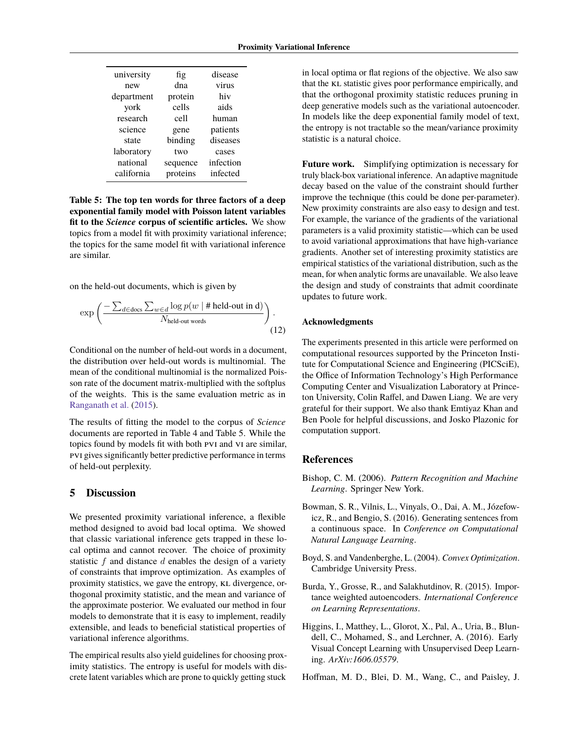<span id="page-7-7"></span>

| university | fig      | disease   |
|------------|----------|-----------|
| new        | dna      | virus     |
| department | protein  | hiv       |
| york       | cells    | aids      |
| research   | cell     | human     |
| science    | gene     | patients  |
| state      | binding  | diseases  |
| laboratory | two      | cases     |
| national   | sequence | infection |
| california | proteins | infected  |
|            |          |           |

**Table 5: The top ten words for three factors of a deep exponential family model with Poisson latent variables fit to the** *Science* **corpus of scientific articles.** We show topics from a model fit with proximity variational inference; the topics for the same model fit with variational inference are similar.

on the held-out documents, which is given by

$$
\exp\left(\frac{-\sum_{d \in \text{docs}} \sum_{w \in d} \log p(w \mid \# \text{ held-out in d})}{N_{\text{held-out words}}}\right).
$$
\n(12)

Conditional on the number of held-out words in a document, the distribution over held-out words is multinomial. The mean of the conditional multinomial is the normalized Poisson rate of the document matrix-multiplied with the softplus of the weights. This is the same evaluation metric as in [Ranganath et al.](#page-8-12) [\(2015\)](#page-8-12).

The results of fitting the model to the corpus of *Science* documents are reported in [Table 4](#page-6-1) and [Table 5.](#page-7-7) While the topics found by models fit with both pvi and vi are similar, pvi gives significantly better predictive performance in terms of held-out perplexity.

# <span id="page-7-6"></span>**5 Discussion**

We presented proximity variational inference, a flexible method designed to avoid bad local optima. We showed that classic variational inference gets trapped in these local optima and cannot recover. The choice of proximity statistic  $f$  and distance  $d$  enables the design of a variety of constraints that improve optimization. As examples of proximity statistics, we gave the entropy, KL divergence, orthogonal proximity statistic, and the mean and variance of the approximate posterior. We evaluated our method in four models to demonstrate that it is easy to implement, readily extensible, and leads to beneficial statistical properties of variational inference algorithms.

The empirical results also yield guidelines for choosing proximity statistics. The entropy is useful for models with discrete latent variables which are prone to quickly getting stuck

in local optima or flat regions of the objective. We also saw that the KL statistic gives poor performance empirically, and that the orthogonal proximity statistic reduces pruning in deep generative models such as the variational autoencoder. In models like the deep exponential family model of text, the entropy is not tractable so the mean/variance proximity statistic is a natural choice.

**Future work.** Simplifying optimization is necessary for truly black-box variational inference. An adaptive magnitude decay based on the value of the constraint should further improve the technique (this could be done per-parameter). New proximity constraints are also easy to design and test. For example, the variance of the gradients of the variational parameters is a valid proximity statistic—which can be used to avoid variational approximations that have high-variance gradients. Another set of interesting proximity statistics are empirical statistics of the variational distribution, such as the mean, for when analytic forms are unavailable. We also leave the design and study of constraints that admit coordinate updates to future work.

### **Acknowledgments**

The experiments presented in this article were performed on computational resources supported by the Princeton Institute for Computational Science and Engineering (PICSciE), the Office of Information Technology's High Performance Computing Center and Visualization Laboratory at Princeton University, Colin Raffel, and Dawen Liang. We are very grateful for their support. We also thank Emtiyaz Khan and Ben Poole for helpful discussions, and Josko Plazonic for computation support.

#### **References**

- <span id="page-7-3"></span>Bishop, C. M. (2006). *Pattern Recognition and Machine Learning*. Springer New York.
- <span id="page-7-4"></span>Bowman, S. R., Vilnis, L., Vinyals, O., Dai, A. M., Józefowicz, R., and Bengio, S. (2016). Generating sentences from a continuous space. In *Conference on Computational Natural Language Learning*.
- <span id="page-7-2"></span>Boyd, S. and Vandenberghe, L. (2004). *Convex Optimization*. Cambridge University Press.
- <span id="page-7-1"></span>Burda, Y., Grosse, R., and Salakhutdinov, R. (2015). Importance weighted autoencoders. *International Conference on Learning Representations*.
- <span id="page-7-5"></span>Higgins, I., Matthey, L., Glorot, X., Pal, A., Uria, B., Blundell, C., Mohamed, S., and Lerchner, A. (2016). Early Visual Concept Learning with Unsupervised Deep Learning. *ArXiv:1606.05579*.

<span id="page-7-0"></span>Hoffman, M. D., Blei, D. M., Wang, C., and Paisley, J.